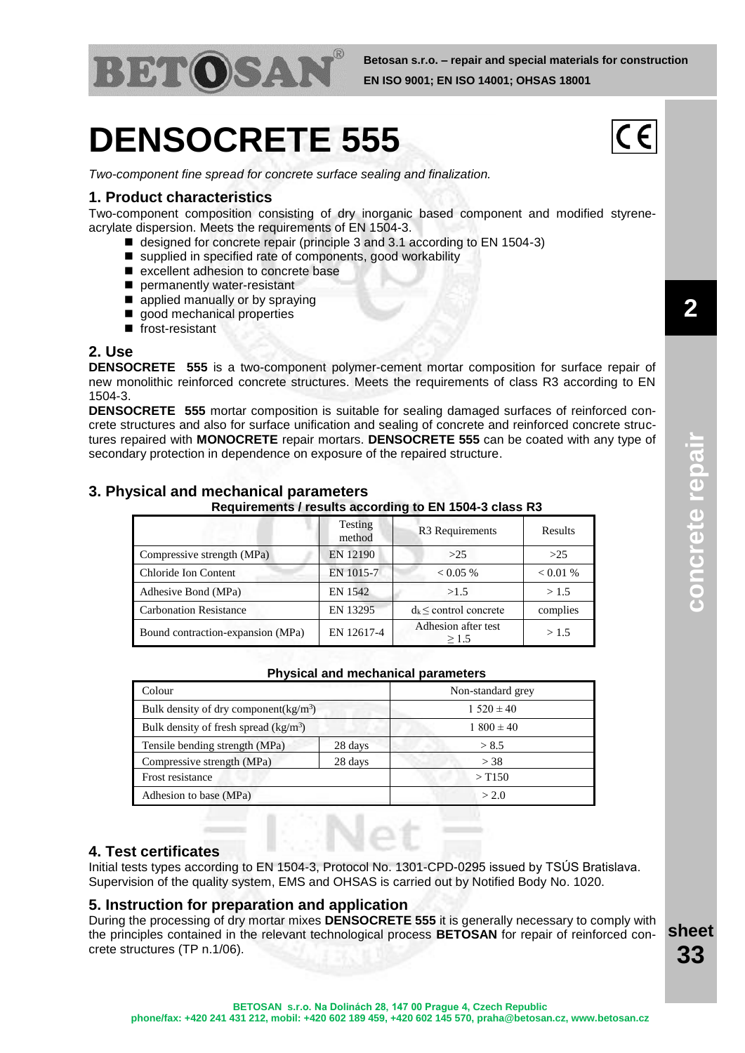

# **DENSOCRETE 555**

*Two-component fine spread for concrete surface sealing and finalization.*

### **1. Product characteristics**

Two-component composition consisting of dry inorganic based component and modified styreneacrylate dispersion. Meets the requirements of EN 1504-3.

- designed for concrete repair (principle 3 and 3.1 according to EN 1504-3)
- supplied in specified rate of components, good workability
- excellent adhesion to concrete base
- permanently water-resistant
- **a** applied manually or by spraying

**3. Physical and mechanical parameters**

- good mechanical properties
- $\blacksquare$  frost-resistant

## **2. Use**

**DENSOCRETE 555** is a two-component polymer-cement mortar composition for surface repair of new monolithic reinforced concrete structures. Meets the requirements of class R3 according to EN 1504-3.

**DENSOCRETE 555** mortar composition is suitable for sealing damaged surfaces of reinforced concrete structures and also for surface unification and sealing of concrete and reinforced concrete structures repaired with **MONOCRETE** repair mortars. **DENSOCRETE 555** can be coated with any type of secondary protection in dependence on exposure of the repaired structure.

**Requirements / results according to EN 1504-3 class R3**

| Requirements / results according to EN 1504-3 class RS |                   |                                        |          |  |  |
|--------------------------------------------------------|-------------------|----------------------------------------|----------|--|--|
|                                                        | Testing<br>method | R <sub>3</sub> Requirements<br>Results |          |  |  |
| Compressive strength (MPa)                             | EN 12190          | >25                                    | >25      |  |  |
| Chloride Ion Content                                   | EN 1015-7         | < 0.05 %                               | < 0.01 % |  |  |
| Adhesive Bond (MPa)                                    | EN 1542           | >1.5                                   | >1.5     |  |  |
| <b>Carbonation Resistance</b>                          | EN 13295          | $d_k \le$ control concrete             | complies |  |  |
| Bound contraction-expansion (MPa)                      | EN 12617-4        | Adhesion after test<br>$\geq$ 1.5      | >1.5     |  |  |

#### **Physical and mechanical parameters**

| Colour                                   |         | Non-standard grey    |  |
|------------------------------------------|---------|----------------------|--|
| Bulk density of dry component( $kg/m3$ ) |         | $1.520 \pm 40$       |  |
| Bulk density of fresh spread $(kg/m3)$   |         | $1800 \pm 40$        |  |
| Tensile bending strength (MPa)           | 28 days | > 8.5                |  |
| Compressive strength (MPa)               | 28 days | $>$ 38               |  |
| Frost resistance                         |         | $>$ T <sub>150</sub> |  |
| Adhesion to base (MPa)                   |         | > 2.0                |  |

### **4. Test certificates**

Initial tests types according to EN 1504-3, Protocol No. 1301-CPD-0295 issued by TSÚS Bratislava. Supervision of the quality system, EMS and OHSAS is carried out by Notified Body No. 1020.

### **5. Instruction for preparation and application**

During the processing of dry mortar mixes **DENSOCRETE 555** it is generally necessary to comply with the principles contained in the relevant technological process **BETOSAN** for repair of reinforced concrete structures (TP n.1/06).

**sheet 33**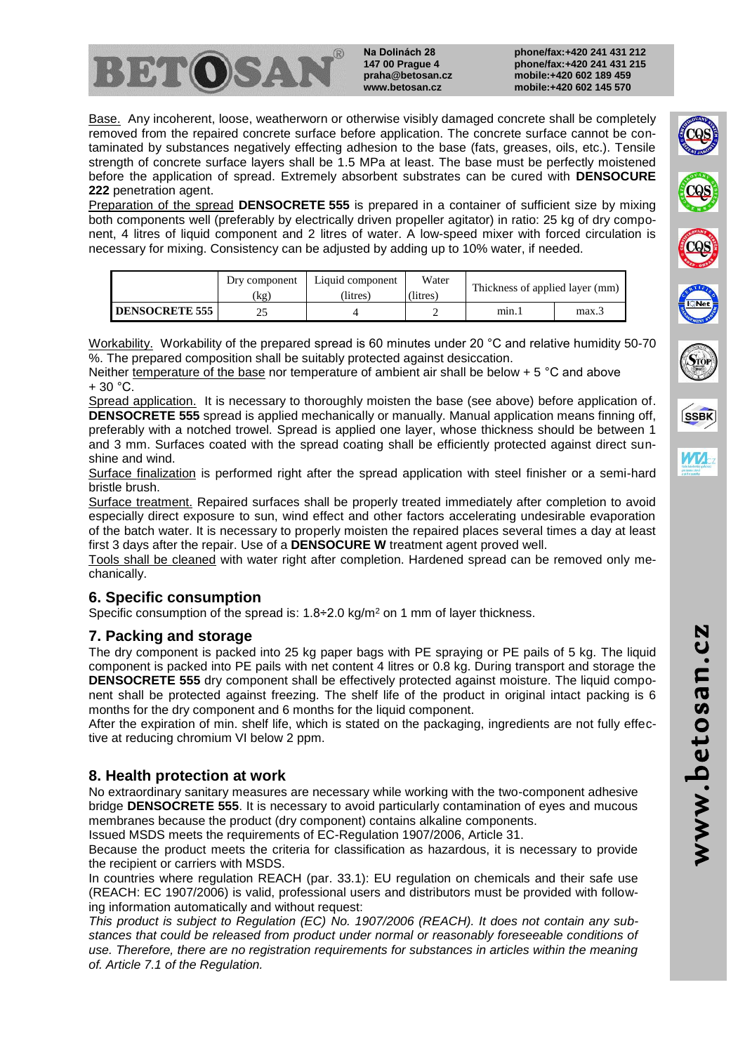

**Na Dolinách 28 147 00 Prague 4 praha@betosan.cz www.betosan.cz**

**phone/fax:+420 241 431 212 phone/fax:+420 241 431 215 mobile:+420 602 189 459 mobile:+420 602 145 570**

Base. Any incoherent, loose, weatherworn or otherwise visibly damaged concrete shall be completely removed from the repaired concrete surface before application. The concrete surface cannot be contaminated by substances negatively effecting adhesion to the base (fats, greases, oils, etc.). Tensile strength of concrete surface layers shall be 1.5 MPa at least. The base must be perfectly moistened before the application of spread. Extremely absorbent substrates can be cured with **DENSOCURE 222** penetration agent.

Preparation of the spread **DENSOCRETE 555** is prepared in a container of sufficient size by mixing both components well (preferably by electrically driven propeller agitator) in ratio: 25 kg of dry component, 4 litres of liquid component and 2 litres of water. A low-speed mixer with forced circulation is necessary for mixing. Consistency can be adjusted by adding up to 10% water, if needed.

|                       | Dry component<br>(kg) | Liquid component<br>(litres) | Water<br>(litres) | Thickness of applied layer (mm) |      |
|-----------------------|-----------------------|------------------------------|-------------------|---------------------------------|------|
| <b>DENSOCRETE 555</b> |                       |                              |                   | min.                            | max. |

Workability. Workability of the prepared spread is 60 minutes under 20 °C and relative humidity 50-70 %. The prepared composition shall be suitably protected against desiccation.

Neither temperature of the base nor temperature of ambient air shall be below + 5 °C and above  $+30 °C$ .

Spread application. It is necessary to thoroughly moisten the base (see above) before application of. **DENSOCRETE 555** spread is applied mechanically or manually. Manual application means finning off, preferably with a notched trowel. Spread is applied one layer, whose thickness should be between 1 and 3 mm. Surfaces coated with the spread coating shall be efficiently protected against direct sunshine and wind.

Surface finalization is performed right after the spread application with steel finisher or a semi-hard bristle brush.

Surface treatment. Repaired surfaces shall be properly treated immediately after completion to avoid especially direct exposure to sun, wind effect and other factors accelerating undesirable evaporation of the batch water. It is necessary to properly moisten the repaired places several times a day at least first 3 days after the repair. Use of a **DENSOCURE W** treatment agent proved well.

Tools shall be cleaned with water right after completion. Hardened spread can be removed only mechanically.

### **6. Specific consumption**

Specific consumption of the spread is:  $1.8 \div 2.0$  kg/m<sup>2</sup> on 1 mm of layer thickness.

### **7. Packing and storage**

The dry component is packed into 25 kg paper bags with PE spraying or PE pails of 5 kg. The liquid component is packed into PE pails with net content 4 litres or 0.8 kg. During transport and storage the **DENSOCRETE 555** dry component shall be effectively protected against moisture. The liquid component shall be protected against freezing. The shelf life of the product in original intact packing is 6 months for the dry component and 6 months for the liquid component.

After the expiration of min. shelf life, which is stated on the packaging, ingredients are not fully effective at reducing chromium VI below 2 ppm.

# **8. Health protection at work**

No extraordinary sanitary measures are necessary while working with the two-component adhesive bridge **DENSOCRETE 555**. It is necessary to avoid particularly contamination of eyes and mucous membranes because the product (dry component) contains alkaline components.

Issued MSDS meets the requirements of EC-Regulation 1907/2006, Article 31.

Because the product meets the criteria for classification as hazardous, it is necessary to provide the recipient or carriers with MSDS.

In countries where regulation REACH (par. 33.1): EU regulation on chemicals and their safe use (REACH: EC 1907/2006) is valid, professional users and distributors must be provided with following information automatically and without request:

*This product is subject to Regulation (EC) No. 1907/2006 (REACH). It does not contain any substances that could be released from product under normal or reasonably foreseeable conditions of use. Therefore, there are no registration requirements for substances in articles within the meaning of. Article 7.1 of the Regulation.*